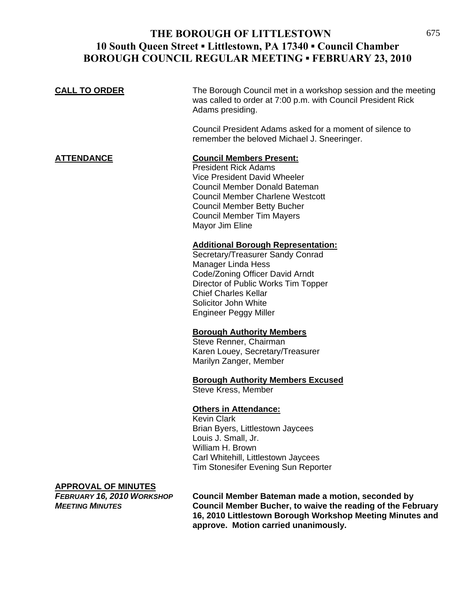## **THE BOROUGH OF LITTLESTOWN** 675 **10 South Queen Street ▪ Littlestown, PA 17340 ▪ Council Chamber BOROUGH COUNCIL REGULAR MEETING ▪ FEBRUARY 23, 2010**

| <b>CALL TO ORDER</b>                                                                                      | The Borough Council met in a workshop session and the meeting<br>was called to order at 7:00 p.m. with Council President Rick<br>Adams presiding.<br>Council President Adams asked for a moment of silence to<br>remember the beloved Michael J. Sneeringer.            |
|-----------------------------------------------------------------------------------------------------------|-------------------------------------------------------------------------------------------------------------------------------------------------------------------------------------------------------------------------------------------------------------------------|
| <b>ATTENDANCE</b>                                                                                         | <b>Council Members Present:</b><br><b>President Rick Adams</b><br>Vice President David Wheeler<br>Council Member Donald Bateman<br><b>Council Member Charlene Westcott</b><br><b>Council Member Betty Bucher</b><br><b>Council Member Tim Mayers</b><br>Mayor Jim Eline |
|                                                                                                           | <b>Additional Borough Representation:</b><br>Secretary/Treasurer Sandy Conrad<br><b>Manager Linda Hess</b><br>Code/Zoning Officer David Arndt<br>Director of Public Works Tim Topper<br><b>Chief Charles Kellar</b><br>Solicitor John White<br>Engineer Peggy Miller    |
|                                                                                                           | <b>Borough Authority Members</b><br>Steve Renner, Chairman<br>Karen Louey, Secretary/Treasurer<br>Marilyn Zanger, Member                                                                                                                                                |
|                                                                                                           | <b>Borough Authority Members Excused</b><br>Steve Kress, Member                                                                                                                                                                                                         |
|                                                                                                           | <b>Others in Attendance:</b><br><b>Kevin Clark</b><br>Brian Byers, Littlestown Jaycees<br>Louis J. Small, Jr.<br>William H. Brown<br>Carl Whitehill, Littlestown Jaycees<br>Tim Stonesifer Evening Sun Reporter                                                         |
| <b>APPROVAL OF MINUTES</b><br>FEBRUARY 16, 2010 WORKSHOP<br>$M$ $F$ $F$ $T$ $M$ $O$ , $M$ $M$ $H$ $F$ $O$ | Council Member Bateman made a motion, seconded by<br>Council Mombor Pucher, to waive the reading of the Echruany                                                                                                                                                        |

*MEETING MINUTES* **Council Member Bucher, to waive the reading of the February 16, 2010 Littlestown Borough Workshop Meeting Minutes and approve. Motion carried unanimously.**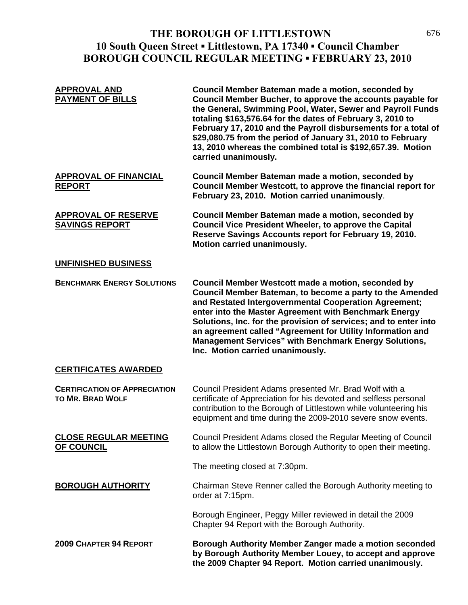# **THE BOROUGH OF LITTLESTOWN** 676 **10 South Queen Street ▪ Littlestown, PA 17340 ▪ Council Chamber BOROUGH COUNCIL REGULAR MEETING ▪ FEBRUARY 23, 2010**

| <b>APPROVAL AND</b><br><b>PAYMENT OF BILLS</b>                  | Council Member Bateman made a motion, seconded by<br>Council Member Bucher, to approve the accounts payable for<br>the General, Swimming Pool, Water, Sewer and Payroll Funds<br>totaling \$163,576.64 for the dates of February 3, 2010 to<br>February 17, 2010 and the Payroll disbursements for a total of<br>\$29,080.75 from the period of January 31, 2010 to February<br>13, 2010 whereas the combined total is \$192,657.39. Motion<br>carried unanimously.           |
|-----------------------------------------------------------------|-------------------------------------------------------------------------------------------------------------------------------------------------------------------------------------------------------------------------------------------------------------------------------------------------------------------------------------------------------------------------------------------------------------------------------------------------------------------------------|
| <b>APPROVAL OF FINANCIAL</b><br><b>REPORT</b>                   | Council Member Bateman made a motion, seconded by<br>Council Member Westcott, to approve the financial report for<br>February 23, 2010. Motion carried unanimously.                                                                                                                                                                                                                                                                                                           |
| <b>APPROVAL OF RESERVE</b><br><b>SAVINGS REPORT</b>             | Council Member Bateman made a motion, seconded by<br><b>Council Vice President Wheeler, to approve the Capital</b><br>Reserve Savings Accounts report for February 19, 2010.<br>Motion carried unanimously.                                                                                                                                                                                                                                                                   |
| <b>UNFINISHED BUSINESS</b>                                      |                                                                                                                                                                                                                                                                                                                                                                                                                                                                               |
| <b>BENCHMARK ENERGY SOLUTIONS</b>                               | <b>Council Member Westcott made a motion, seconded by</b><br>Council Member Bateman, to become a party to the Amended<br>and Restated Intergovernmental Cooperation Agreement;<br>enter into the Master Agreement with Benchmark Energy<br>Solutions, Inc. for the provision of services; and to enter into<br>an agreement called "Agreement for Utility Information and<br><b>Management Services" with Benchmark Energy Solutions,</b><br>Inc. Motion carried unanimously. |
| <b>CERTIFICATES AWARDED</b>                                     |                                                                                                                                                                                                                                                                                                                                                                                                                                                                               |
| <b>CERTIFICATION OF APPRECIATION</b><br><b>TO MR. BRAD WOLF</b> | Council President Adams presented Mr. Brad Wolf with a<br>certificate of Appreciation for his devoted and selfless personal<br>contribution to the Borough of Littlestown while volunteering his<br>equipment and time during the 2009-2010 severe snow events.                                                                                                                                                                                                               |
| <b>CLOSE REGULAR MEETING</b><br><b>OF COUNCIL</b>               | Council President Adams closed the Regular Meeting of Council<br>to allow the Littlestown Borough Authority to open their meeting.                                                                                                                                                                                                                                                                                                                                            |
|                                                                 | The meeting closed at 7:30pm.                                                                                                                                                                                                                                                                                                                                                                                                                                                 |
| <b>BOROUGH AUTHORITY</b>                                        | Chairman Steve Renner called the Borough Authority meeting to<br>order at 7:15pm.                                                                                                                                                                                                                                                                                                                                                                                             |
|                                                                 | Borough Engineer, Peggy Miller reviewed in detail the 2009<br>Chapter 94 Report with the Borough Authority.                                                                                                                                                                                                                                                                                                                                                                   |
| <b>2009 CHAPTER 94 REPORT</b>                                   | Borough Authority Member Zanger made a motion seconded<br>by Borough Authority Member Louey, to accept and approve<br>the 2009 Chapter 94 Report. Motion carried unanimously.                                                                                                                                                                                                                                                                                                 |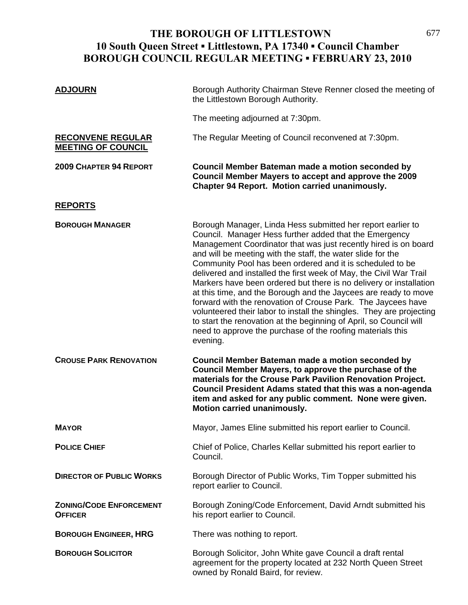# **THE BOROUGH OF LITTLESTOWN** 677 **10 South Queen Street ▪ Littlestown, PA 17340 ▪ Council Chamber BOROUGH COUNCIL REGULAR MEETING ▪ FEBRUARY 23, 2010**

| <b>ADJOURN</b>                                        | Borough Authority Chairman Steve Renner closed the meeting of<br>the Littlestown Borough Authority.                                                                                                                                                                                                                                                                                                                                                                                                                                                                                                                                                                                                                                                                                                                         |
|-------------------------------------------------------|-----------------------------------------------------------------------------------------------------------------------------------------------------------------------------------------------------------------------------------------------------------------------------------------------------------------------------------------------------------------------------------------------------------------------------------------------------------------------------------------------------------------------------------------------------------------------------------------------------------------------------------------------------------------------------------------------------------------------------------------------------------------------------------------------------------------------------|
|                                                       | The meeting adjourned at 7:30pm.                                                                                                                                                                                                                                                                                                                                                                                                                                                                                                                                                                                                                                                                                                                                                                                            |
| <b>RECONVENE REGULAR</b><br><b>MEETING OF COUNCIL</b> | The Regular Meeting of Council reconvened at 7:30pm.                                                                                                                                                                                                                                                                                                                                                                                                                                                                                                                                                                                                                                                                                                                                                                        |
| <b>2009 CHAPTER 94 REPORT</b>                         | Council Member Bateman made a motion seconded by<br>Council Member Mayers to accept and approve the 2009<br><b>Chapter 94 Report. Motion carried unanimously.</b>                                                                                                                                                                                                                                                                                                                                                                                                                                                                                                                                                                                                                                                           |
| <b>REPORTS</b>                                        |                                                                                                                                                                                                                                                                                                                                                                                                                                                                                                                                                                                                                                                                                                                                                                                                                             |
| <b>BOROUGH MANAGER</b>                                | Borough Manager, Linda Hess submitted her report earlier to<br>Council. Manager Hess further added that the Emergency<br>Management Coordinator that was just recently hired is on board<br>and will be meeting with the staff, the water slide for the<br>Community Pool has been ordered and it is scheduled to be<br>delivered and installed the first week of May, the Civil War Trail<br>Markers have been ordered but there is no delivery or installation<br>at this time, and the Borough and the Jaycees are ready to move<br>forward with the renovation of Crouse Park. The Jaycees have<br>volunteered their labor to install the shingles. They are projecting<br>to start the renovation at the beginning of April, so Council will<br>need to approve the purchase of the roofing materials this<br>evening. |
| <b>CROUSE PARK RENOVATION</b>                         | Council Member Bateman made a motion seconded by<br>Council Member Mayers, to approve the purchase of the<br>materials for the Crouse Park Pavilion Renovation Project.<br>Council President Adams stated that this was a non-agenda<br>item and asked for any public comment. None were given.<br>Motion carried unanimously.                                                                                                                                                                                                                                                                                                                                                                                                                                                                                              |
| <b>MAYOR</b>                                          | Mayor, James Eline submitted his report earlier to Council.                                                                                                                                                                                                                                                                                                                                                                                                                                                                                                                                                                                                                                                                                                                                                                 |
| <b>POLICE CHIEF</b>                                   | Chief of Police, Charles Kellar submitted his report earlier to<br>Council.                                                                                                                                                                                                                                                                                                                                                                                                                                                                                                                                                                                                                                                                                                                                                 |
| <b>DIRECTOR OF PUBLIC WORKS</b>                       | Borough Director of Public Works, Tim Topper submitted his<br>report earlier to Council.                                                                                                                                                                                                                                                                                                                                                                                                                                                                                                                                                                                                                                                                                                                                    |
| <b>ZONING/CODE ENFORCEMENT</b><br><b>OFFICER</b>      | Borough Zoning/Code Enforcement, David Arndt submitted his<br>his report earlier to Council.                                                                                                                                                                                                                                                                                                                                                                                                                                                                                                                                                                                                                                                                                                                                |
| <b>BOROUGH ENGINEER, HRG</b>                          | There was nothing to report.                                                                                                                                                                                                                                                                                                                                                                                                                                                                                                                                                                                                                                                                                                                                                                                                |
| <b>BOROUGH SOLICITOR</b>                              | Borough Solicitor, John White gave Council a draft rental<br>agreement for the property located at 232 North Queen Street<br>owned by Ronald Baird, for review.                                                                                                                                                                                                                                                                                                                                                                                                                                                                                                                                                                                                                                                             |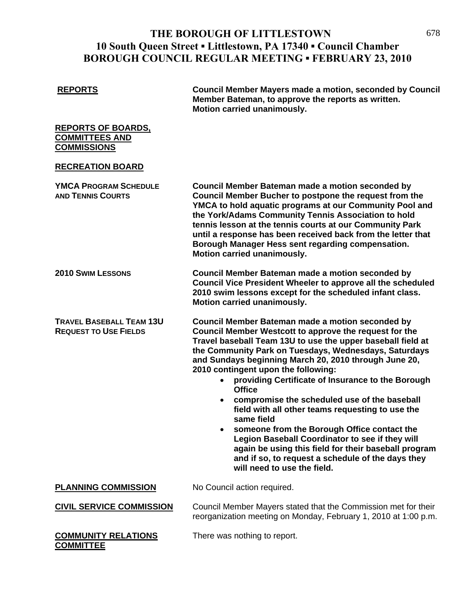## **THE BOROUGH OF LITTLESTOWN** 678 **10 South Queen Street ▪ Littlestown, PA 17340 ▪ Council Chamber BOROUGH COUNCIL REGULAR MEETING ▪ FEBRUARY 23, 2010**

**REPORTS Council Member Mayers made a motion, seconded by Council Member Bateman, to approve the reports as written. Motion carried unanimously.** 

**REPORTS OF BOARDS, COMMITTEES AND COMMISSIONS**

#### **RECREATION BOARD**

| <b>YMCA PROGRAM SCHEDULE</b><br><b>AND TENNIS COURTS</b>        | Council Member Bateman made a motion seconded by<br>Council Member Bucher to postpone the request from the<br>YMCA to hold aquatic programs at our Community Pool and<br>the York/Adams Community Tennis Association to hold<br>tennis lesson at the tennis courts at our Community Park<br>until a response has been received back from the letter that<br>Borough Manager Hess sent regarding compensation.<br>Motion carried unanimously.                                                                                                                                                                                                                                                                                                                                                                    |
|-----------------------------------------------------------------|-----------------------------------------------------------------------------------------------------------------------------------------------------------------------------------------------------------------------------------------------------------------------------------------------------------------------------------------------------------------------------------------------------------------------------------------------------------------------------------------------------------------------------------------------------------------------------------------------------------------------------------------------------------------------------------------------------------------------------------------------------------------------------------------------------------------|
| <b>2010 SWIM LESSONS</b>                                        | Council Member Bateman made a motion seconded by<br>Council Vice President Wheeler to approve all the scheduled<br>2010 swim lessons except for the scheduled infant class.<br>Motion carried unanimously.                                                                                                                                                                                                                                                                                                                                                                                                                                                                                                                                                                                                      |
| <b>TRAVEL BASEBALL TEAM 13U</b><br><b>REQUEST TO USE FIELDS</b> | Council Member Bateman made a motion seconded by<br>Council Member Westcott to approve the request for the<br>Travel baseball Team 13U to use the upper baseball field at<br>the Community Park on Tuesdays, Wednesdays, Saturdays<br>and Sundays beginning March 20, 2010 through June 20,<br>2010 contingent upon the following:<br>providing Certificate of Insurance to the Borough<br>$\bullet$<br><b>Office</b><br>compromise the scheduled use of the baseball<br>$\bullet$<br>field with all other teams requesting to use the<br>same field<br>someone from the Borough Office contact the<br>$\bullet$<br>Legion Baseball Coordinator to see if they will<br>again be using this field for their baseball program<br>and if so, to request a schedule of the days they<br>will need to use the field. |
| <b>PLANNING COMMISSION</b>                                      | No Council action required.                                                                                                                                                                                                                                                                                                                                                                                                                                                                                                                                                                                                                                                                                                                                                                                     |
| <b>CIVIL SERVICE COMMISSION</b>                                 | Council Member Mayers stated that the Commission met for their<br>reorganization meeting on Monday, February 1, 2010 at 1:00 p.m.                                                                                                                                                                                                                                                                                                                                                                                                                                                                                                                                                                                                                                                                               |
| <b>COMMUNITY RELATIONS</b><br><b>COMMITTEE</b>                  | There was nothing to report.                                                                                                                                                                                                                                                                                                                                                                                                                                                                                                                                                                                                                                                                                                                                                                                    |